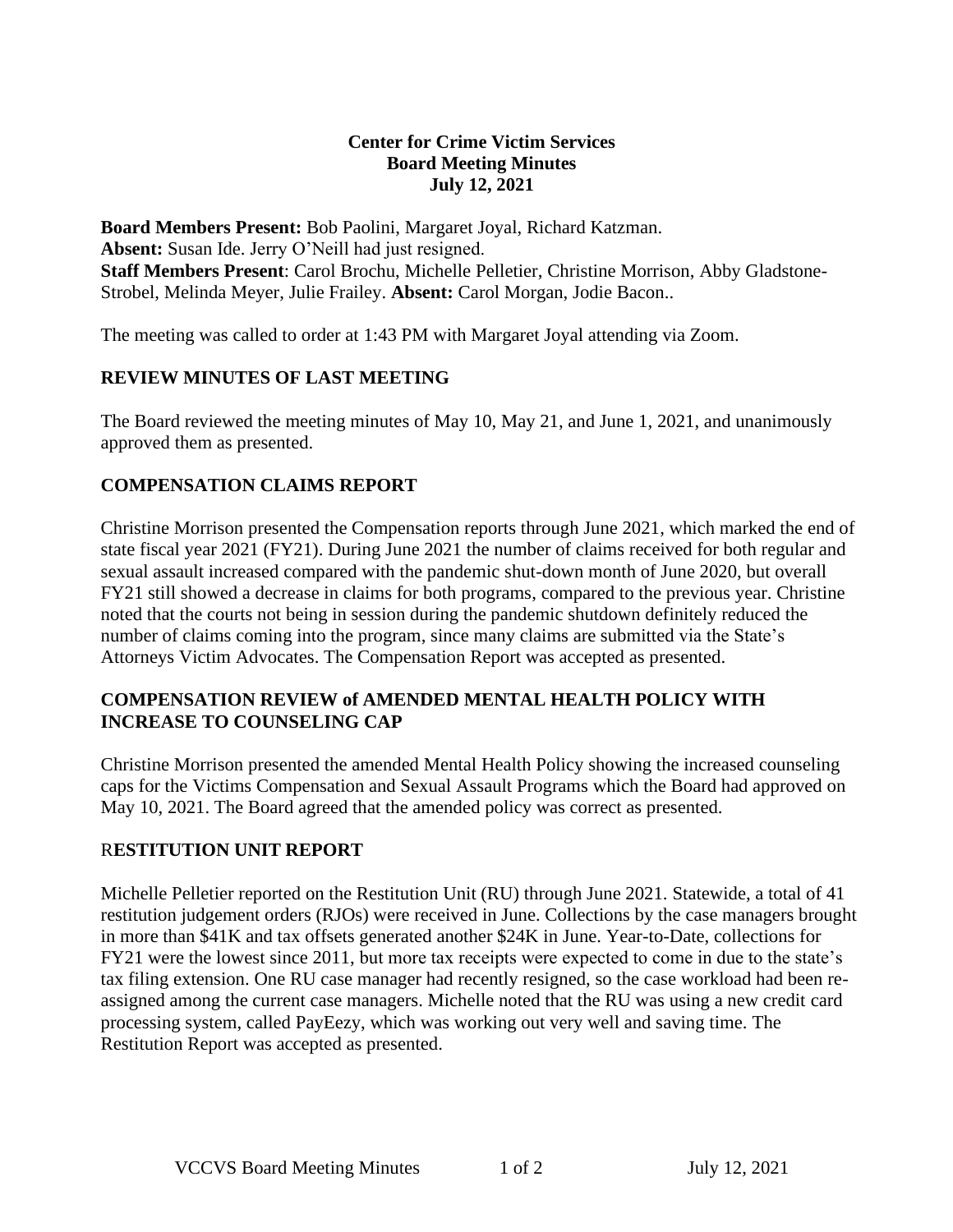#### **Center for Crime Victim Services Board Meeting Minutes July 12, 2021**

**Board Members Present:** Bob Paolini, Margaret Joyal, Richard Katzman. **Absent:** Susan Ide. Jerry O'Neill had just resigned. **Staff Members Present**: Carol Brochu, Michelle Pelletier, Christine Morrison, Abby Gladstone-Strobel, Melinda Meyer, Julie Frailey. **Absent:** Carol Morgan, Jodie Bacon..

The meeting was called to order at 1:43 PM with Margaret Joyal attending via Zoom.

### **REVIEW MINUTES OF LAST MEETING**

The Board reviewed the meeting minutes of May 10, May 21, and June 1, 2021, and unanimously approved them as presented.

### **COMPENSATION CLAIMS REPORT**

Christine Morrison presented the Compensation reports through June 2021, which marked the end of state fiscal year 2021 (FY21). During June 2021 the number of claims received for both regular and sexual assault increased compared with the pandemic shut-down month of June 2020, but overall FY21 still showed a decrease in claims for both programs, compared to the previous year. Christine noted that the courts not being in session during the pandemic shutdown definitely reduced the number of claims coming into the program, since many claims are submitted via the State's Attorneys Victim Advocates. The Compensation Report was accepted as presented.

### **COMPENSATION REVIEW of AMENDED MENTAL HEALTH POLICY WITH INCREASE TO COUNSELING CAP**

Christine Morrison presented the amended Mental Health Policy showing the increased counseling caps for the Victims Compensation and Sexual Assault Programs which the Board had approved on May 10, 2021. The Board agreed that the amended policy was correct as presented.

#### R**ESTITUTION UNIT REPORT**

Michelle Pelletier reported on the Restitution Unit (RU) through June 2021. Statewide, a total of 41 restitution judgement orders (RJOs) were received in June. Collections by the case managers brought in more than \$41K and tax offsets generated another \$24K in June. Year-to-Date, collections for FY21 were the lowest since 2011, but more tax receipts were expected to come in due to the state's tax filing extension. One RU case manager had recently resigned, so the case workload had been reassigned among the current case managers. Michelle noted that the RU was using a new credit card processing system, called PayEezy, which was working out very well and saving time. The Restitution Report was accepted as presented.